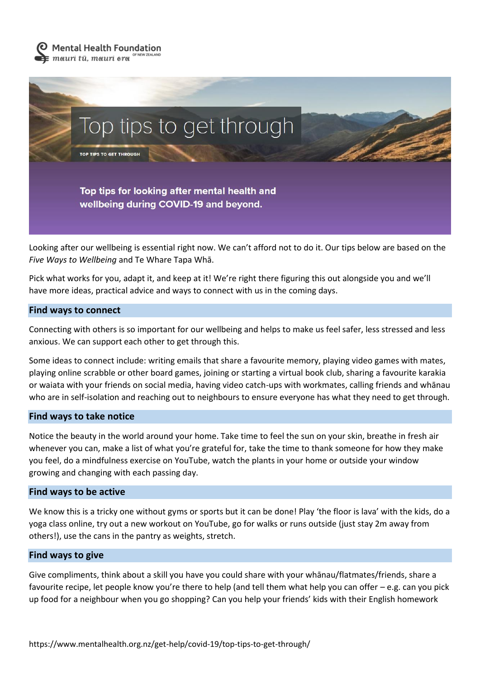

Looking after our wellbeing is essential right now. We can't afford not to do it. Our tips below are based on the *Five Ways to Wellbeing* and Te Whare Tapa Whā.

Pick what works for you, adapt it, and keep at it! We're right there figuring this out alongside you and we'll have more ideas, practical advice and ways to connect with us in the coming days.

# **Find ways to connect**

Connecting with others is so important for our wellbeing and helps to make us feel safer, less stressed and less anxious. We can support each other to get through this.

Some ideas to connect include: writing emails that share a favourite memory, playing video games with mates, playing online scrabble or other board games, joining or starting a virtual book club, sharing a favourite karakia or waiata with your friends on social media, having video catch-ups with workmates, calling friends and whānau who are in self-isolation and reaching out to neighbours to ensure everyone has what they need to get through.

### **Find ways to take notice**

Notice the beauty in the world around your home. Take time to feel the sun on your skin, breathe in fresh air whenever you can, make a list of what you're grateful for, take the time to thank someone for how they make you feel, do a mindfulness exercise on YouTube, watch the plants in your home or outside your window growing and changing with each passing day.

#### **Find ways to be active**

We know this is a tricky one without gyms or sports but it can be done! Play 'the floor is lava' with the kids, do a yoga class online, try out a new workout on YouTube, go for walks or runs outside (just stay 2m away from others!), use the cans in the pantry as weights, stretch.

#### **Find ways to give**

Give compliments, think about a skill you have you could share with your whānau/flatmates/friends, share a favourite recipe, let people know you're there to help (and tell them what help you can offer – e.g. can you pick up food for a neighbour when you go shopping? Can you help your friends' kids with their English homework